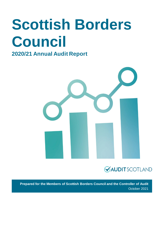# **Scottish Borders Council**

### **2020/21 Annual Audit Report**





**Prepared for the Members of Scottish Borders Council and the Controller of Audit** October 2021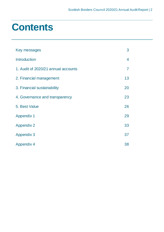### **Contents**

| Key messages                        | 3              |
|-------------------------------------|----------------|
| <b>Introduction</b>                 | 4              |
| 1. Audit of 2020/21 annual accounts | $\overline{7}$ |
| 2. Financial management             | 13             |
| 3. Financial sustainability         | 20             |
| 4. Governance and transparency      | 23             |
| 5. Best Value                       | 26             |
| <b>Appendix 1</b>                   | 29             |
| <b>Appendix 2</b>                   | 33             |
| <b>Appendix 3</b>                   | 37             |
| <b>Appendix 4</b>                   | 38             |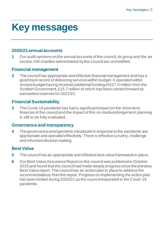## <span id="page-2-0"></span>**Key messages**

### **2020/21 annual accounts**

**1** Our audit opinions on the annual accounts of the council, its group and the six section 106 charities administered by the council are unmodified.

#### **Financial management**

**2** The council has appropriate and effective financial management and has a good track record of delivering services within budget. It operated within revised budget having received additional funding of £27.0 million from the Scottish Government, £15.7 million of which has been carried forward as earmarked reserves for 2021/22.

### **Financial Sustainability**

**3** The Covid-19 pandemic has had a significant impact on the short-term finances of the council and the impact of this on medium/longer term planning is still to be fully evaluated.

#### **Governance and transparency**

**4** The governance arrangements introduced in response to the pandemic are appropriate and operated effectively. There is effective scrutiny, challenge and informed decision making.

### **Best Value**

- **5** The council has an appropriate and effective best value framework in place.
- **6** Our Best Value Assurance Report on the council was published in October 2019 and found that the council had made steady progress since the previous Best Value report. The council has an action plan in place to address the recommendations from the report. Progress on implementing the action plan has been limited during 2020/21 as the council responded to the Covid-19 pandemic.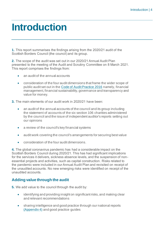## <span id="page-3-0"></span>**Introduction**

**1.** This report summarises the findings arising from the 2020/21 audit of the Scottish Borders Council (the council) and its group.

**2.** The scope of the audit was set out in our 2020/21 Annual Audit Plan presented to the meeting of the Audit and Scrutiny Committee on 8 March 2021. This report comprises the findings from:

- an audit of the annual accounts
- consideration of the four audit dimensions that frame the wider scope of public audit set out in the [Code of Audit Practice 2016](http://www.audit-scotland.gov.uk/report/code-of-audit-practice-2016) namely, financial management, financial sustainability, governance and transparency and value for money.
- **3.** The main elements of our audit work in 2020/21 have been:
	- an audit of the annual accounts of the council and its group including the statement of accounts of the six section 106 charities administered by the council and the issue of independent auditor's reports setting out our opinions
	- a review of the council's key financial systems
	- audit work covering the council's arrangements for securing best value
	- consideration of the four audit dimensions.

**4.** The global coronavirus pandemic has had a considerable impact on the Scottish Borders Council during 2020/21. This has had significant implications for the services it delivers, sickness absence levels, and the suspension of nonessential projects and activities, such as capital construction. Risks related to the pandemic were included in our Annual Audit Plan and revisited on receipt of the unaudited accounts. No new emerging risks were identified on receipt of the unaudited accounts.

#### **Adding value through the audit**

- **5.** We add value to the council through the audit by:
	- identifying and providing insight on significant risks, and making clear and relevant recommendations
	- sharing intelligence and good practice through our national reports [\(Appendix 4\)](#page-37-0) and good practice guides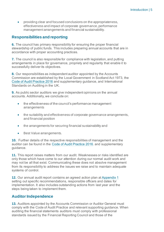• providing clear and focused conclusions on the appropriateness, effectiveness and impact of corporate governance, performance management arrangements and financial sustainability.

#### **Responsibilities and reporting**

**6.** The council has primary responsibility for ensuring the proper financial stewardship of public funds. This includes preparing annual accounts that are in accordance with proper accounting practices.

**7.** The council is also responsible for compliance with legislation, and putting arrangements in place for governance, propriety and regularity that enable it to successfully deliver its objectives.

**8.** Our responsibilities as independent auditor appointed by the Accounts Commission are established by the Local Government in Scotland Act 1973, the [Code of Audit Practice 2016](http://www.audit-scotland.gov.uk/report/code-of-audit-practice-2016) and supplementary guidance, and International Standards on Auditing in the UK.

**9.** As public sector auditors we give independent opinions on the annual accounts. Additionally, we conclude on:

- the effectiveness of the council's performance management **arrangements**
- the suitability and effectiveness of corporate governance arrangements, and financial position
- the arrangements for securing financial sustainability and
- Best Value arrangements.

**10.** Further details of the respective responsibilities of management and the auditor can be found in the [Code of Audit Practice 2016.](http://www.audit-scotland.gov.uk/report/code-of-audit-practice-2016) and supplementary guidance.

**11.** This report raises matters from our audit. Weaknesses or risks identified are only those which have come to our attention during our normal audit work and may not be all that exist. Communicating these does not absolve management from its responsibility to address the issues we raise and to maintain adequate systems of control.

**12.** Our annual audit report contains an agreed action plan at [Appendix 1](#page-10-0) setting out specific recommendations, responsible officers and dates for implementation. It also includes outstanding actions from last year and the steps being taken to implement them.

#### **Auditor Independence**

**13.** Auditors appointed by the Accounts Commission or Auditor General must comply with the Code of Audit Practice and relevant supporting guidance. When auditing the financial statements auditors must comply with professional standards issued by the Financial Reporting Council and those of the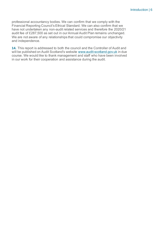professional accountancy bodies. We can confirm that we comply with the Financial Reporting Council's Ethical Standard. We can also confirm that we have not undertaken any non-audit related services and therefore the 2020/21 audit fee of £287,500 as set out in our Annual Audit Plan remains unchanged. We are not aware of any relationships that could compromise our objectivity and independence.

**14.** This report is addressed to both the council and the Controller of Audit and will be published on Audit Scotland's website [www.audit-scotland.gov.uk](http://www.audit-scotland.gov.uk/) in due course. We would like to thank management and staff who have been involved in our work for their cooperation and assistance during the audit.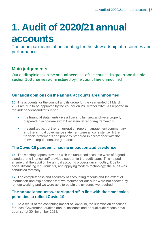# <span id="page-6-0"></span>**1. Audit of 2020/21 annual accounts**

The principal means of accounting for the stewardship of resources and performance

### **Main judgements**

Our audit opinions on the annual accounts of the council, its group and the six section 106 charities administered by the council are unmodified.

#### **Our audit opinions on the annual accounts are unmodified**

**15.** The accounts for the council and its group for the year ended 31 March 2021 are due to be approved by the council on 28 October 2021. As reported in the independent auditor's report:

- the financial statements give a true and fair view and were properly prepared in accordance with the financial reporting framework
- the audited part of the remuneration report, management commentary and the annual governance statement were all consistent with the financial statements and properly prepared in accordance with the relevant regulations and guidance.

#### **The Covid-19 pandemic had no impact on audit evidence**

**16.** The working papers provided with the unaudited accounts were of a good standard and finance staff provided support to the audit team. This helped ensure that the audit of the annual accounts process ran smoothly. Due to social distancing requirements, and applying modern technology, the audit was conducted remotely.

**17.** The completeness and accuracy of accounting records and the extent of information and explanations that we required for our audit were not affected by remote working and we were able to obtain the evidence we required.

#### **The annual accounts were signed off in line with the timescales permitted to reflect Covid-19**

**18.** As a result of the continuing impact of Covid-19, the submission deadlines for Local Government audited annual accounts and annual audit reports have been set at 30 November 2021.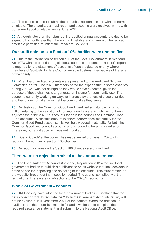**19.** The council chose to submit the unaudited accounts in line with the normal timetable. The unaudited annual report and accounts were received in line with our agreed audit timetable, on 29 June 2021.

**20.** Although later than first planned, the audited annual accounts are due to be signed off a month later than the normal timetable and in line with the revised timetable permitted to reflect the impact of Covid-19.

#### **Our audit opinions on Section 106 charities were unmodified**

**21.** Due to the interaction of section 106 of the Local Government in Scotland Act 1973 with the charities' legislation, a separate independent auditor's report is required for the statement of accounts of each registered charity where members of Scottish Borders Council are sole trustees, irrespective of the size of the charity.

**22.** When the unaudited accounts were presented to the Audit and Scrutiny Committee on 29 June 2021, members noted the expenditure in some charities during 2020/21 was not as high as they would have expected, given the purpose of these charities is to generate an income for community use. The council is currently working on ways to increase awareness of these charities and the funding on offer amongst the communities they serve.

<span id="page-7-0"></span>**23.** Our testing of the Common Good Fund identified a historic error of £0.1 million relating to the valuation of common good assets, which has not been adjusted for in the 2020/21 accounts for both the council and Common Good Fund accounts. Whilst this amount is above performance materiality for the Common Good Fund accounts, it is well below overall materiality for both the Common Good and council accounts and is judged to be an isolated error. Therefore, our audit approach was not modified.

**24.** Due to Covid-19, the council has made limited progress in 2020/21 in reducing the number of section 106 charities.

**25.** Our audit opinions on the Section 106 charities are unmodified.

#### **There were no objections raised to the annual accounts**

**26.** The Local Authority Accounts (Scotland) Regulations 2014 require local government bodies to publish a public notice on its website that includes details of the period for inspecting and objecting to the accounts. This must remain on the website throughout the inspection period. The council complied with the regulations. There were no objections to the 2020/21 accounts.

#### **Whole of Government Accounts**

**27.** HM Treasury have informed local government bodies in Scotland that the data collection tool, to facilitate the Whole of Government Accounts return, will not be available until December 2021 at the earliest. When the data tool is available and the return is available for audit, we intend to complete the required assurance statement and submit it to the National Audit Office.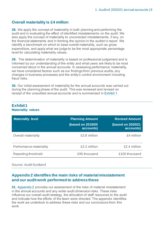#### **Overall materiality is £4 million**

**28.** We apply the concept of materiality in both planning and performing the audit and in evaluating the effect of identified misstatements on the audit. We also apply the concept of materiality to uncorrected misstatements, if any, on the financial statements and in forming the opinion in the auditor's report. We identify a benchmark on which to base overall materiality, such as gross expenditure, and apply what we judge to be the most appropriate percentage level for calculating materiality values.

**29.** The determination of materiality is based on professional judgement and is informed by our understanding of the entity and what users are likely to be most concerned about in the annual accounts. In assessing performance materiality, we have considered factors such as our findings from previous audits, any changes in business processes and the entity's control environment including fraud risks.

**30.** Our initial assessment of materiality for the annual accounts was carried out during the planning phase of the audit. This was reviewed and revised on receipt of the unaudited annual accounts and is summarised in [Exhibit 1.](#page-8-0)

#### <span id="page-8-0"></span>**Exhibit 1 Materiality values**

| <b>Materiality level</b>   | <b>Planning Amount</b><br><b>(based on 2019/20</b><br>accounts) | <b>Revised Amount</b><br>(based on 2020/21<br>accounts) |
|----------------------------|-----------------------------------------------------------------|---------------------------------------------------------|
| <b>Overall materiality</b> | £3.8 million                                                    | £4 million                                              |
| Performance materiality    | £2.3 million                                                    | £2.4 million                                            |
| Reporting threshold        | £95 thousand                                                    | £100 thousand                                           |

Source: Audit Scotland

#### **Appendix 2 identifies the main risks of material misstatement and our audit work performed to address these**

**31.** Appendix 2 [provides our assessment of the risks of material misstatement](#page-32-0)  [in the annual accounts and any wider audit dimension risks. These risks](#page-32-0)  [influence our overall audit strategy, the allocation of staff resources to the audit](#page-32-0)  [and indicate how the efforts of the team were directed. The appendix identifies](#page-32-0)  [the work we undertook to address these risks and our conclusions from this](#page-32-0)  [work.](#page-32-0)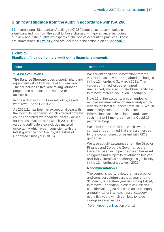#### **Significant findings from the audit in accordance with ISA 260**

**32.** International Standard on Auditing (UK) 260 requires us to communicate significant findings from the audit to those charged with governance, including our view about the qualitative aspects of the body's accounting practices. These are summarised in [Exhibit 2](#page-9-0) and are included in the action plan at [Appendix 1.](#page-10-0)

#### <span id="page-9-0"></span>**Exhibit 2**

#### **Significant findings from the audit of the financial statements**

#### **Issue Resolution**

#### **1. Asset valuations**

The Balance Sheet includes property, plant and equipment with a total value of £607 million. The council has a five-year rolling valuation programme as detailed in Note 12 of the accounts.

In line with the Council's asset policy, assets were revalued at 1 April 2020.

As 2020/21 has been an exceptional year with the Covid-19 pandemic, which affected how the council operated, we needed further evidence for the asset values at 31 March 2021. The valuer's certificate also included material uncertainty which was inconsistent with the latest guidance from the Royal Institute of Chartered Surveyors (RICS).

We sought additional information from the valuer that asset values remained unchanged in the 12 months to 31 March 2021. The valuer confirmed values remained unchanged, and also updated their certificate to remove material valuation uncertainty.

Note 12 of the accounts was amended to remove material valuation uncertainty which reflects the latest guidance from RICS. Whilst uncertainty remains, there is better information available on labour and material costs, in the 18 months since the Covid-19 pandemic began.

We considered the evidence in its wider context and confirmed that the asset values for the council were consistent with RICS guidance.

We also sought assurances from the Director Finance and Corporate Governance that there had been no impairment on other asset categories not subject to revaluation this year and that values had not changed significantly in the 12 months since 1 April 2020.

#### **Recommendation 1**

The council should: review their asset policy and consider valuing assets at year ending 31 March, rather than year beginning 1 April, to remove uncertainty in asset values; and consider valuing 20% of each asset category annually rather than each asset category every five years which can lead to large swings in asset values.

(refer [Appendix 1,](#page-10-0) action plan 1)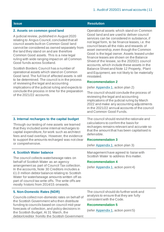<span id="page-10-1"></span>

| <b>Issue</b>                                                                                                                                                                                                                                                                                                                                                                                                                                                                                                                                                                                         | <b>Resolution</b>                                                                                                                                                                                                                                                                                                                                                                                                                                                                                                                                                                                                |  |
|------------------------------------------------------------------------------------------------------------------------------------------------------------------------------------------------------------------------------------------------------------------------------------------------------------------------------------------------------------------------------------------------------------------------------------------------------------------------------------------------------------------------------------------------------------------------------------------------------|------------------------------------------------------------------------------------------------------------------------------------------------------------------------------------------------------------------------------------------------------------------------------------------------------------------------------------------------------------------------------------------------------------------------------------------------------------------------------------------------------------------------------------------------------------------------------------------------------------------|--|
| 2. Assets on common good land<br>A judicial review, published in August 2020<br>relating to Angus Council, concluded that all<br>council assets built on Common Good land<br>cannot be considered as owned separately from<br>the land they stand on and are therefore<br>Common Good assets. This is a new legal<br>ruling with wide ranging impact on all Common<br>Good funds across Scotland.<br>Scottish Borders Council has a number of<br>operational assets which stand on Common<br>Good land. The full list of affected assets is still<br>to be determined. The council is in the process | Operational assets which stand on Common<br>Good land and are used to deliver council<br>services can be considered in substance, if<br>not legal form, to be finance leases, i.e. the<br>council bears all the risks and rewards of<br>asset ownership, even though the Common<br>Good is the legal owner. Assets leased under<br>finance leases are shown on the Balance<br>Sheet of the lessee, so the 2020/21 council<br>accounts, which include these assets in the<br>Balance Sheet and Note 12 Property, Plant<br>and Equipment, are not likely to be materially<br>misstated.<br><b>Recommendation 2</b> |  |
| of reviewing the legal and accounting<br>implications of the judicial ruling and expects to                                                                                                                                                                                                                                                                                                                                                                                                                                                                                                          | (refer Appendix 1, action plan 2)                                                                                                                                                                                                                                                                                                                                                                                                                                                                                                                                                                                |  |
| conclude the process in time for the preparation<br>of the 2021/22 accounts.                                                                                                                                                                                                                                                                                                                                                                                                                                                                                                                         | The council should conclude the process of<br>reviewing the legal and accounting<br>implications of the judicial ruling by March<br>2022 and make any accounting adjustments<br>in the 2021/22 annual accounts of the council<br>and Common Good Funds.                                                                                                                                                                                                                                                                                                                                                          |  |
| 3. Internal recharges to the capital budget                                                                                                                                                                                                                                                                                                                                                                                                                                                                                                                                                          | The council should revisit the rationale and<br>calculations to confirm the basis for<br>recharges remains relevant and accurate so<br>that the amount that has been capitalised is<br>defensible.                                                                                                                                                                                                                                                                                                                                                                                                               |  |
| Through our testing of new assets we learned<br>that they included some internal recharges to<br>capital expenditure, for work such as architect<br>fees and road overlays. However, the evidence                                                                                                                                                                                                                                                                                                                                                                                                    |                                                                                                                                                                                                                                                                                                                                                                                                                                                                                                                                                                                                                  |  |
| to support the amounts recharged was not clear                                                                                                                                                                                                                                                                                                                                                                                                                                                                                                                                                       | <b>Recommendation 3</b>                                                                                                                                                                                                                                                                                                                                                                                                                                                                                                                                                                                          |  |
| or comprehensive.                                                                                                                                                                                                                                                                                                                                                                                                                                                                                                                                                                                    | (refer Appendix 1, action plan 3)                                                                                                                                                                                                                                                                                                                                                                                                                                                                                                                                                                                |  |
| 4. Scottish Water balance<br>The council collects water/sewage rates on<br>behalf of Scottish Water as an agency                                                                                                                                                                                                                                                                                                                                                                                                                                                                                     | Management have agreed to liaise with<br>Scottish Water to address this matter.<br><b>Recommendation 4</b>                                                                                                                                                                                                                                                                                                                                                                                                                                                                                                       |  |
| arrangement as part of Council Tax collection.<br>In the accounts, Note 30 Creditors includes a                                                                                                                                                                                                                                                                                                                                                                                                                                                                                                      | (refer Appendix 1, action point 4)                                                                                                                                                                                                                                                                                                                                                                                                                                                                                                                                                                               |  |

<span id="page-10-4"></span>**5. Non-Domestic Rates (NDR)**

mostly historic from 2014/15 onwards.

Councils collect non-domestic rates on behalf of the Scottish Government who then distribute funding to councils based on council mid-year forecasts of collection, and policy decisions in the Scottish Budget. At 31 March, the debtor/creditor from/to the Scottish Government

<span id="page-10-3"></span><span id="page-10-2"></span>£1.0 million debtor balance relating to Scottish Water for water/sewage amounts written off as part of council tax write offs. The write offs are

> <span id="page-10-0"></span>The council should do further work and analysis to ensure that they are fully consistent with the Code.

#### **Recommendation 5**

(refer [Appendix 1,](#page-10-0) action point 5)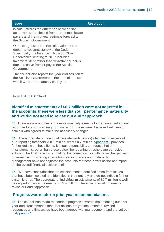| <b>Issue</b>                                                                                                                                                                                                                                                                                    | <b>Resolution</b> |
|-------------------------------------------------------------------------------------------------------------------------------------------------------------------------------------------------------------------------------------------------------------------------------------------------|-------------------|
| is calculated as the difference between the<br>actual amount collected from non-domestic rate<br>payers and the mid-year estimate forecast to<br>the Scottish Government.                                                                                                                       |                   |
| Our testing found that the calculation of the<br>debtor is not consistent with the Code.<br>Specifically, the balance in Note 30 Other<br>Receivables, relating to NDR includes<br>taxpayers' debt rather than what the council is<br>due to receive from or pay to the Scottish<br>Government. |                   |
| The council also reports the year end position to<br>the Scottish Government in the form of a return,<br>which we audit separately each year.                                                                                                                                                   |                   |

#### Source: Audit Scotland

#### **Identified misstatements of £0.7 million were not adjusted in the accounts;these were less than our performance materiality and we did not need to revise our audit approach**

**33.** There were a number of presentational adjustments to the unaudited annual report and accounts arising from our audit. These were discussed with senior officials who agreed to make the necessary changes.

**34.** The aggregate of individual misstatements (errors) identified in excess of our 'reporting threshold' (£0.1 million) were £0.7 million[. Appendix 3](#page-36-0) provides further details on these items. It is our responsibility to request that all misstatements, other than those below the reporting threshold are corrected, although the final decision on making the correction lies with those charged with governance considering advice from senior officers and materiality. Management have not adjusted the accounts for these errors as the net impact on the overall financial position is nil.

<span id="page-11-0"></span>**35.** We have concluded that the misstatements identified arose from issues that have been isolated and identified in their entirety and do not indicate further systemic error. The aggregate of individual misstatements of £0.7 million is well below performance materiality of £2.4 million. Therefore, we did not need to revise our audit approach.

#### **Progress was made on prior year recommendations**

**36.** The council has made reasonable progress towards implementing our prior year audit recommendations. For actions not yet implemented, revised responses and timescales have been agreed with management, and are set out i[n Appendix 1.](#page-10-0)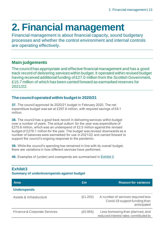## <span id="page-12-0"></span>**2. Financial management**

Financial management is about financial capacity, sound budgetary processes and whether the control environment and internal controls are operating effectively.

### **Main judgements**

The council has appropriate and effective financial management and has a good track record of delivering services within budget. It operated within revised budget having received additional funding of £27.0 million from the Scottish Government, £15.7 million of which has been carried forward as earmarked reserves for 2021/22.

#### **The council operated within budget in 2020/21**

**37.** The council approved its 2020/21 budget in February 2020. The net expenditure budget was set at £297.8 million, with required savings of £8.1 million.

**38.** The council has a good track record in delivering services within budget over a number of years. The actual outturn for the year was expenditure of £275.6 million, which was an underspend of £2.5 million against the revised budget of £278.1 million for the year. The budget was revised downwards as a number of balances were earmarked for use in 2021/22 and carried forward to support the council's ongoing response to the pandemic.

**39.** While the council's spending has remained in line with its overall budget, there are variations in how different services have performed.

**40.** Examples of (under) and overspends are summarised in [Exhibit 3.](#page-12-1)

| <b>Area</b>                             | £m       | <b>Reason for variance</b>                                                         |
|-----------------------------------------|----------|------------------------------------------------------------------------------------|
| <b>Underspends</b>                      |          |                                                                                    |
| Assets & Infrastructure                 | (E1.202) | A number of services required less<br>Covid-19 support funding than<br>anticipated |
| <b>Finance &amp; Corporate Services</b> | (E0.955) | Less borrowing than planned, and<br>reduced interest rates contributed to          |

#### <span id="page-12-1"></span>**Exhibit 3**

#### **Summary of under/overspends against budget**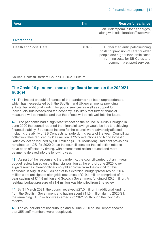| <b>Area</b>                   | Em     | <b>Reason for variance</b>                                                                                                                                                      |
|-------------------------------|--------|---------------------------------------------------------------------------------------------------------------------------------------------------------------------------------|
|                               |        | an underspend in loans charges,<br>along with additional staff turnover.                                                                                                        |
| <b>Overspends</b>             |        |                                                                                                                                                                                 |
| <b>Health and Social Care</b> | £0,070 | Higher than anticipated running<br>costs for provision of care for older<br>people and higher than anticipated<br>running costs for SB Cares and<br>community support services. |

Source: Scottish Borders Council 2020-21 Outturn

#### **The Covid-19 pandemic had a significant impact on the 2020/21 budget**

**41.** The impact on public finances of the pandemic has been unprecedented, which has necessitated both the Scottish and UK governments providing substantial additional funding for public services as well as support for individuals, businesses and the economy. It is likely that further financial measures will be needed and that the effects will be felt well into the future.

**42.** The pandemic had a significant impact on the council's 2020/21 budget. In June 2020 the council reported that financial savings would be key to achieving financial stability. Sources of income for the council were adversely affected, including the ability of SB Contracts to trade during parts of the year. Council tax collection rates reduced by £0.7 million (1.25% reduction) and Non-Domestic Rates collection reduced by £0.9 million (3.66% reduction). Bad debt provisions remained at 1.2% for 2020-21 as the council consider the collection rates to have been affected by timing, with enforcement action paused and more payments delayed into the following year.

**43.** As part of the response to the pandemic, the council carried out an in-year budget review based on the financial position at the end of June 2020 to realign resources. Senior officers sought approval from the council for this approach in August 2020. As part of this exercise, budget pressures of £20.4 million were anticipated alongside resources of £19.1 million comprised of inyear savings of £14.8 million and Scottish Government funding of £5.6 million. A residual budget pressure of £1.4 million was identified from this review.

**44.** By 31 March 2021, the council received £27.0 million in additional funding from the Scottish Government and having spent £11.3 million during 2020/21, the remaining £15.7 million was carried into 2021/22 through the Covid-19 reserve.

**45.** The council did not use furlough and a June 2020 council report showed that 355 staff members were redeployed.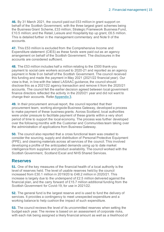**46.** By 31 March 2021, the council paid out £53 million in grant support on behalf of the Scottish Government, with the three largest grant schemes being the Business Grant Scheme, £33 million; Strategic Framework Business Fund, £10.5 million; and the Retail, Leisure and Hospitality top up grant, £6.5 million. This is detailed further in the management commentary and Note 9 of the accounts.

**47.** This £53 million is excluded from the Comprehensive Income and Expenditure statement (CIES) as these funds were paid out as an agency arrangement on behalf of the Scottish Government. The disclosures in the accounts are considered sufficient.

<span id="page-14-0"></span>**48.** The £53 million includes half a million relating to the £500 thank-you payment to social care workers accrued to 2020-21 and reported as an agency payment in Note 9 on behalf of the Scottish Government. The council received this funding and made the payment in May 2021 (2021/22 financial year). Our view is that, in line with the latest LASAAC guidance, the council should disclose this as a 2021/22 agency transaction and remove it from the 2020/21 accounts. The council felt the earlier decision agreed between local government finance directors reflected the activity in the 2020/21 year and did not want to change their accounts. Refe[r Appendix 3.](#page-36-0)

**49.** In their procurement annual report, the council reported that their procurement team, working alongside Business Gateway, developed a process to make payment of these business grants. Across Scotland, local authorities were under pressure to facilitate payment of these grants within a very short period of time to support the local economy. The process was further developed over the following months with the Customer and Communities team taking over the administration of applications from Business Gateway.

**50.** The council also reported that a cross functional team was created to consider the sourcing, supply and distribution of Personal Protective Equipment (PPE), and cleaning materials across all services of the council. This involved developing a profile of the anticipated demands using up to date market intelligence from suppliers and product availability. The council worked with the Scottish Government, Scotland Excel and NHS Shared Services.

#### **Reserves**

**51.** One of the key measures of the financial health of a local authority is the level of reserves held. The level of usable reserves held by the council increased from £30.1 million in 2019/20 to £48.2 million in 2020/21. This increase is largely due to the underspend of £2.5 million delivered against the financial plan, and the carry forward of £15.7 million additional funding from the Scottish Government for Covid-19, for use in 2021/22.

**52.** The general fund is the largest reserve and is used to fund the delivery of services. It provides a contingency to meet unexpected expenditure and a working balance to help cushion the impact of such expenditure.

**53.** The council reviews the level of its uncommitted reserves when setting the budget each year. The review is based on an assessment of corporate risks, with each risk being assigned a likely financial amount as well as a likelihood of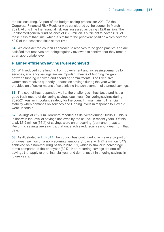the risk occurring. As part of the budget setting process for 2021/22 the Corporate Financial Risk Register was considered by the council in March 2021. At this time the financial risk was assessed as being £12.8 million. The unallocated general fund balance of £6.3 million is sufficient to cover 49% of these risks at that time, which is similar to the prior year position which covered 52% of the assessed risks at that time.

**54.** We consider the council's approach to reserves to be good practice and are satisfied that reserves are being regularly reviewed to confirm that they remain at an appropriate level.

#### **Planned efficiency savings were achieved**

**55.** With reduced core funding from government and increasing demands for services, efficiency savings are an important means of bridging the gap between funding received and spending commitments. The Executive Committee receives quarterly updates on savings during the year which provides an effective means of scrutinising the achievement of planned savings.

**56.** The council has responded well to the challenges it has faced and has a good track record of delivering savings each year. Delivering savings during 2020/21 was an important strategy for the council in maintaining financial stability when demands on services and funding levels in response to Covid-19 were uncertain.

**57.** Savings of £12.1 million were reported as delivered during 2020/21. This is in line with the level of savings achieved by the council in recent years. Of this total, £7.9 million (66%) of savings were on a recurring (permanent) basis. Recurring savings are savings, that once achieved, recur year-on-year from that date.

**58.** As illustrated in [Exhibit 4,](#page-16-0) the council has continued to achieve a proportion of in-year savings on a non-recurring (temporary) basis, with £4.2 million (34%) achieved on a non-recurring basis in 2020/21, which is similar in percentage terms compared to the prior year (30%). Non-recurring savings are one-off savings that apply to one financial year and do not result in ongoing savings in future years.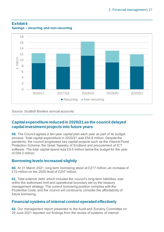

#### <span id="page-16-0"></span>**Exhibit 4 Savings – recurring and non-recurring**

Source: Scottish Borders annual accounts

#### **Capital expenditure reduced in 2020/21 as the council delayed capital investment projects into future years**

**59.** The Council agrees a ten-year capital plan each year as part of its budget process. Total capital expenditure in 2020/21 was £54.8 million. Despite the pandemic, the council progressed key capital projects such as the Hawick Flood Protection Scheme, the Great Tapestry of Scotland and procurement of ICT software. The total capital spend was £9.5 million below the budget for the year of £64.3 million.

#### **Borrowing levels increased slightly**

**60.** At 31 March 2021, long term borrowing stood at £217 million, an increase of £10 million on the 2020 level of £207 million.

**61.** Total external debt, which includes the council's long-term liabilities, was within the authorised limit and operational boundary set by the treasury management strategy. The current borrowing position complies with the Prudential Code, and the council will continue to consider the affordability of future borrowing.

#### **Financial systems of internal control operated effectively**

**62.** Our management report presented to the Audit and Scrutiny Committee on 29 June 2021 reported our findings from the review of systems of internal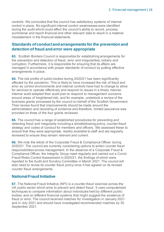controls. We concluded that the council has satisfactory systems of internal control in place. No significant internal control weaknesses were identified during the audit which could affect the council's ability to record, process, summarise and report financial and other relevant data to result in a material misstatement in the financial statements.

#### **Standards of conduct and arrangements for the prevention and detection of fraud and error were appropriate**

**63.** Scottish Borders Council is responsible for establishing arrangements for the prevention and detection of fraud, error and irregularities, bribery and corruption. Furthermore, it is responsible for ensuring that its affairs are managed in accordance with proper standards of conduct by putting effective arrangements in place.

**64.** The risk profile of public bodies during 2020/21 has been significantly affected by the pandemic. This is likely to have increased the risk of fraud and error as control environments and internal controls have had to change to allow for services to operate effectively and respond to issues in a timely manner. Internal audit adapted their audit plan to respond to management concerns around areas of heightened risk, and for example, undertook a review of the business grants processed by the council on behalf of the Scottish Government. Their review found that improvements should be made around the administration and recording of evidence and therefore, limited assurance was provided on three of the four grants reviewed.

**65.** The council has a range of established procedures for preventing and detecting fraud and irregularity including a whistleblowing policy, counter-fraud strategy and codes of conduct for members and officers. We assessed these to ensure that they were appropriate, readily available to staff and are regularly reviewed to ensure they remain relevant and current.

**66.** We note the retiral of the Corporate Fraud & Compliance Officer during 2020/21. The council are currently considering options to widen counter fraud responsibilities across management. In the absence of a Corporate Fraud & Compliance Officer, the Integrity Group meet regularly and carried out a Covid-Fraud-Risks Control Assessment in 2020/21, the findings of which were reported to the Audit and Scrutiny Committee in March 2021. The council will also need to revise its counter fraud policy once it has agreed on its revised counter fraud arrangements.

#### **National Fraud Initiative**

<span id="page-17-0"></span>**67.** The National Fraud Initiative (NFI) is a counter-fraud exercise across the UK public sector which aims to prevent and detect fraud. It uses computerised techniques to compare information about individuals held by different public bodies, and on different financial systems that might suggest the existence of fraud or error. The council received matches for investigation in January 2021 and in July 2021 and should have investigated recommended matches by 30 September 2021.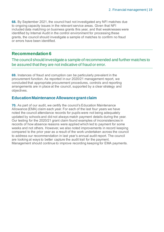<span id="page-18-0"></span>**68.** By September 2021, the council had not investigated any NFI matches due to ongoing capacity issues in the relevant service areas. Given that NFI included data matching on business grants this year, and that weaknesses were identified by Internal Audit in the control environment for processing these grants, the council should investigate a sample of matches to confirm no fraud or errors have been identified.

#### **Recommendation 6**

The council should investigate a sample of recommended and further matches to be assured that they are not indicative of fraud or error.

**69.** Instances of fraud and corruption can be particularly prevalent in the procurement function. As reported in our 2020/21 management report, we concluded that appropriate procurement procedures, controls and reporting arrangements are in place at the council, supported by a clear strategy and objectives.

#### **Education Maintenance Allowance grant claim**

**70.** As part of our audit, we certify the council's Education Maintenance Allowance (EMA) claim each year. For each of the last four years we have noted the council attendance records for pupils were not being adequately updated by schools and did not always match payment details during the year. Our testing for the 2020/21 grant claim found examples of inconsistencies in records of how absence reasons were applied which led to payment for some weeks and not others. However, we also noted improvements in record keeping compared to the prior year as a result of the work undertaken across the council to address our recommendation in last year's annual audit report. The council are looking at ways to better capture the audit trail for the payment. Management should continue to improve recording keeping for EMA payments.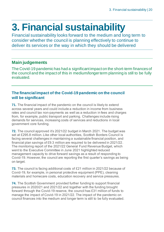## <span id="page-19-0"></span>**3. Financial sustainability**

Financial sustainability looks forward to the medium and long term to consider whether the council is planning effectively to continue to deliver its services or the way in which they should be delivered

#### **Main judgements**

The Covid-19 pandemic has had a significant impact on the short-term finances of the council and the impact of this in medium/longer term planning is still to be fully evaluated.

#### **The financial impact of the Covid-19 pandemic on the council will be significant**

**71.** The financial impact of the pandemic on the council is likely to extend across several years and could include a reduction in income from business rates and council tax non-payments as well as a reduction in fees and charges from, for example, public transport and parking. Challenges include rising demands for services, increasing costs of services and reductions in local government core funding.

**72.** The council approved it's 2021/22 budget in March 2021. The budget was set at £295.8 million. Like other local authorities, Scottish Borders Council is facing several challenges in maintaining a sustainable financial position, and financial plan savings of £9.3 million are required to be delivered in 2021/22. The monitoring report of the 2021/22 General Fund Revenue Budget, which went to the Executive Committee in June 2021 highlighted reduced management capacity to drive forward savings as a result of responding to Covid-19. However, the council are reporting the first quarter's savings as being on target.

**73.** The council is facing additional costs of £21 million in 2021/22 because of Covid-19, for example, in personal protective equipment (PPE), cleaning materials and homecare costs, education recovery and service pressures.

**74.** The Scottish Government provided further funding to support financial pressures in 2020/21 and 2021/22 and together with the funding brought forward through the Covid-19 reserve, the council has £31 million of funds to manage the impact of Covid-19 in 2021/22. The impact of the pandemic on council finances into the medium and longer term is still to be fully evaluated.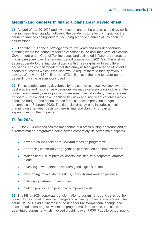#### **Medium and longer term financial plans are in development**

**75.** As part of our 2019/20 audit, we recommended the council should review its medium-term financial plan following the pandemic to reflect its impact on the council's finances going forward, including scenario planning of key financial assumptions.

**76.** The 2021/22 financial strategy covers five years and includes scenario planning where the council modelled variations in the assumed level of Scottish Government grant, Council Tax increases and estimated inflationary increases in cost pressures over the ten-year period commencing 2021/22. This is shown as an appendix to the financial strategy with three graphs for three different scenarios. The council reported that this analysis highlights a range of potential financial outcomes which, if realised, would require them to identify revenue savings of between £39 million and £72 million over the next ten-year period depending on the assumptions used.

**77.** The scenario planning developed by the council is a positive step towards best practice and helps ensure decisions are made on a sustainable basis. The council are currently developing a longer-term financial strategy over a ten-year period to 2031/32 and have identified key risks and significant variables which affect the budget. The council intend for this to accompany the budget documents in February 2022. The financial strategy also includes capital planning on a ten-year basis so there is financial planning for capital expenditure into the longer term.

#### **Fit for 2024**

**78.** Fit for 2024 emphasises the importance of a cross-cutting approach and of a transformation programme being driven corporately. Its seven main aspects are:

- a whole-council service review and redesign programme
- enhancing community engagement, participation and empowerment
- making best use of physical assets, assisted by a corporate landlord model
- investing in well-planned and designed digital solutions
- developing the workforce's skills, flexibility and working patterns
- optimising partnership resources
- making process and productivity improvements.

**79.** The Fit for 2024 corporate transformation programme is considered by the council to be crucial to service change and achieving financial efficiencies. The council found Covid-19 increased the need for transformational change and accelerated some projects within the programme, for instance, the Inspire Learning programme which involved providing over 7,000 iPads to school pupils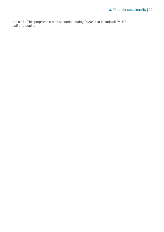and staff. This programme was expanded during 2020/21 to include all P4-P7 staff and pupils.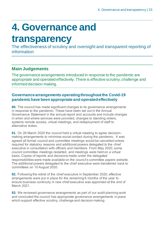# <span id="page-22-0"></span>**4. Governance and**

### **transparency**

The effectiveness of scrutiny and oversight and transparent reporting of information

### **Main Judgements**

The governance arrangements introduced in response to the pandemic are appropriate and operated effectively.There is effective scrutiny, challenge and informed decision making.

#### **Governance arrangements operating throughout the Covid-19 pandemic have been appropriate and operated effectively**

**80.** The council has made significant changes to its governance arrangements in response to the pandemic. These have been set out in the Annual Governance Statement in the annual report and accounts and include changes in when and where services were provided, changes to standing orders, systems remote access, virtual meetings, and redeployment of staff to alternative duties.

**81.** On 26 March 2020 the council held a virtual meeting to agree decisionmaking arrangements to minimise social contact during the pandemic. It was agreed all formal council and committee meetings would be cancelled unless required for statutory reasons and additional powers delegated to the chief executive in consultation with officers and members. From May 2020, some council committee meetings restarted, and meetings were held on a virtual basis. Copies of reports and decisions made under the delegated responsibilities were made available on the council's committee papers website. The additional powers delegated to the chief executive were transferred back to committees on 10 August 2020.

**82.** Following the retiral of the chief executive in September 2020, effective arrangements were put in place for the remaining 6 months of the year to ensure business continuity. A new chief executive was appointed at the end of March 2021.

**83.** We reviewed governance arrangements as part of our audit planning work and concluded the council has appropriate governance arrangements in place which support effective scrutiny, challenge and decision making.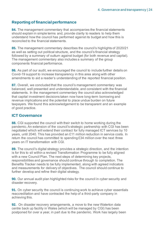#### **Reporting of financial performance**

**84.** The management commentary that accompanies the financial statements should explain in simple terms and, provide clarity to readers to help them understand how the council has performed against its budget and how this is reconciled to the financial statements.

**85.** The management commentary describes the council's highlights of 2020/21 as well as setting out political structure, and the council's financial strategy followed by a summary of outturn against budget (for both revenue and capital). The management commentary also includes a summary of the group components financial performance.

**86.** As part of our audit, we encouraged the council to include further details on Covid-19 support to increase transparency in this area along with other amendments to aid a reader's understanding of the reported financial position.

**87.** Overall, we concluded that the council's management commentary was balanced, well presented and understandable, and consistent with the financial statements. In the management commentary the council also acknowledged that capital investment decisions taken now have long-term borrowing and revenue implications and the potential to place undue burden on future taxpayers. We found this acknowledgement to be transparent and an example of good practice.

#### **ICT Governance**

**88.** CGI supported the council with their switch to home working during the pandemic. An extension of the council's strategic partnership with CGI has been negotiated which will extend their contract for fully managed ICT services by 10 years, until 2040. This has provided an £11 million reduction in service costs. In return the council has committed to spending £34 million over the next three years on IT transformation with CGI.

**89.** The council's digital strategy provides a strategic direction, and the intention is for this to sit within a revised Transformation Programme to be fully aligned with a new Council Plan. The next steps of determining key projects, responsibilities and governance should continue through to completion. The Benefits Tracker needs to be fully implemented, along with agreed indicators and measurements for delivery of objectives. The council should continue to further develop and refine their digital strategy.

<span id="page-23-0"></span>**90.** Our annual audit plan highlighted risks for the council in cyber security and disaster recovery.

**91.** On cyber security the council is continuing work to achieve cyber essentials reaccreditation and have contracted the help of a third-party company in achieving this.

<span id="page-23-1"></span>**92.** On disaster recovery arrangements, a move to the new Waterton data centre back up facility in Wales (which will be managed by CGI) has been postponed for over a year, in part due to the pandemic. Work has largely been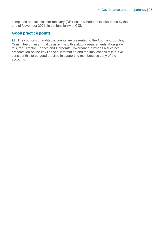completed and full disaster recovery (DR) test is scheduled to take place by the end of November 2021, in conjunction with CGI.

#### **Good practice points**

**93.** The council's unaudited accounts are presented to the Audit and Scrutiny Committee on an annual basis in line with statutory requirements. Alongside this, the Director Finance and Corporate Governance provides a succinct presentation on the key financial information and the implications of this. We consider this to be good practice in supporting members' scrutiny of the accounts.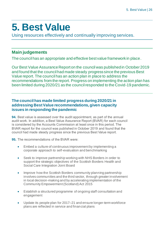## <span id="page-25-0"></span>**5. Best Value**

Using resources effectively and continually improving services.

### **Main judgements**

The council has an appropriate and effective best value framework in place.

Our Best Value Assurance Report on the council was published in October 2019 and found that the council had made steady progress since the previous Best Value report. The council has an action plan in place to address the recommendations from the report. Progress on implementing the action plan has been limited during 2020/21 as the council responded to the Covid-19 pandemic.

#### **The council has made limited progress during 2020/21 in addressing Best Value recommendations, given capacity issues in responding the pandemic**

<span id="page-25-1"></span>**94.** Best value is assessed over the audit appointment, as part of the annual audit work. In addition, a Best Value Assurance Report (BVAR) for each council is considered by the Accounts Commission at least once in this period. The BVAR report for the council was published in October 2019 and found that the council had made steady progress since the previous Best Value report.

**95.** The recommendations of the BVAR were:

- Embed a culture of continuous improvement by implementing a corporate approach to self-evaluation and benchmarking
- Seek to improve partnership working with NHS Borders in order to support the strategic objectives of the Scottish Borders Health and Social Care Integration Joint Board
- Improve how the Scottish Borders community planning partnership involves communities and the third sector, through greater involvement in local decision-making and by accelerating implementation of the Community Empowerment (Scotland) Act 2015
- Establish a structured programme of ongoing staff consultation and engagement
- Update its people plan for 2017–21 and ensure longer-term workforce plans are reflected in service and financial plans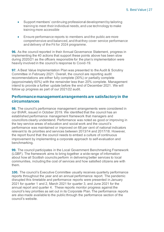- Support members' continuing professional development by tailoring training to meet their individual needs, and use technology to make training more accessible
- Ensure performance reports to members and the public are more comprehensive and balanced, and that they cover service performance and delivery of the Fit for 2024 programme.

**96.** As the council reported in their Annual Governance Statement, progress in implementing the 40 actions that support these points above has been slow during 2020/21 as the officers responsible for the plan's implementation were heavily involved in the council's response to Covid-19.

<span id="page-26-0"></span>**97.** A Best Value Implementation Plan was presented to the Audit & Scrutiny Committee in February 2021. Overall, the council are reporting audit recommendations are either fully complete (30%) or partially complete (approximately 60%) with the remainder less than 20% complete. Management intend to provide a further update before the end of December 2021. We will follow up progress as part of our 2021/22 audit.

#### **Performance management arrangements are satisfactory in the circumstances**

**98.** The council's performance management arrangements were considered in our BVAR, issued in October 2019. We identified that the council has an established performance management framework that managers and councillors clearly understand. Performance was noted as good or improving in the key service areas of education and social work and the council's performance was maintained or improved on 68 per cent of national indicators relevant to its priorities and services between 2013/14 and 2017/18. However, the report found that the council needs to embed a culture of continuous improvement by implementing a corporate approach to self-evaluation and benchmarking.

**99.** The council participates in the Local Government Benchmarking Framework (LGBF). The framework aims to bring together a wide range of information about how all Scottish councils perform in delivering better services to local communities, including the cost of services and how satisfied citizens are with them.

**100.** The council's Executive Committee usually receives quarterly performance reports throughout the year and an annual performance report. The pandemic disrupted this timetable and performance reports were presented in January 2021 for quarter 1 and 2, March 2021 for quarter 3, and June 2021 for the annual report and quarter 4. These reports monitor progress against the council's key priorities as set out in its Corporate Plan. The performance reports are also made available to the public through the performance section of the council's website.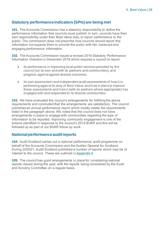#### **Statutory performance indicators (SPIs) are being met**

**101.** The Accounts Commission has a statutory responsibility to define the performance information that councils must publish. In turn, councils have their own responsibility, under their Best Value duty, to report performance to the public. The commission does not prescribe how councils should report this information but expects them to provide the public with fair, balanced and engaging performance information.

**102.** The Accounts Commission issued a revised 2018 Statutory Performance Information Direction in December 2018 which requires a council to report:

- its performance in improving local public services provided by the council (on its own and with its partners and communities), and progress against agreed desired outcomes;
- its own assessment and independent audit assessments of how it is performing against its duty of Best Value, and how it plans to improve these assessments and how it (with its partners where appropriate) has engaged with and responded to its diverse communities.

**103.** We have evaluated the council's arrangements for fulfilling the above requirements and concluded that the arrangements are satisfactory. The council publishes an annual performance report which mostly meets the requirements listed in the paragraph above. We noted that the council does not have arrangements in place to engage with communities regarding the type of information to be reported. Improving community engagement is one of the actions identified in response to the council's 2019 BVAR and this will be followed up as part of our BVAR follow up work.

#### **National performance audit reports**

**104.** Audit Scotland carries out a national performance audit programme on behalf of the Accounts Commission and the Auditor General for Scotland. During 2020/21, Audit Scotland published a number of reports which may be of interest to the council. These are outlined i[n Appendix 4.](#page-37-0)

**105.** The council has good arrangements in place for considering national reports issued during the year, with the reports being considered by the Audit and Scrutiny Committee on a regular basis.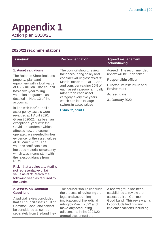### <span id="page-28-0"></span>**Appendix 1** Action plan 2020/21

#### **2020/21 recommendations**

#### **Issue/risk Recommendation Agreed management action/timing 1. Asset valuations** The Balance Sheet includes property, plant and equipment with a total value of £607 million. The council has a five-year rolling valuation programme as detailed in Note 12 of the The council should: review their accounting policy and consider valuing assets at 31 March, rather than at 1 April; and consider valuing 20% of each asset category annually rather than each asset category every five years review will be undertaken. **Responsible officer Environment Agreed date**

In line with the Council's asset policy, assets were revalued at 1 April 2020. Given 2020/21 has been an exceptional year with the Covid-19 pandemic which affected how the council operated, we needed further evidence for the asset values at 31 March 2021. The valuer's certificate also included material uncertainty which was inconsistent with the latest guidance from RICS.

accounts.

Risk - that a value at 1 April is not representative of fair value as at 31 March the following year, as required by the Code.

#### **2. Assets on Common Good land**

A judicial review concluded that all council assets built on Common Good land cannot be considered as owned separately from the land they

The council should conclude the process of reviewing the legal and accounting implications of the judicial ruling by March 2022 and make any accounting adjustments in the 2021/22 annual accounts of the

A review group has been established to review the assets built on Common Good Land. This review aims to conclude findings and implement actions including

which can lead to large

[Exhibit 2, point 1](#page-9-0) 

swings in asset values

Agreed. The recommended

Director, Infrastructure and

31 January 2022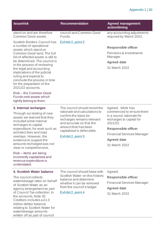#### Appendix 1 | 30

| <b>Issue/risk</b>                                                                                                                                                                                                                                                                                                                                                                                                                                       | <b>Recommendation</b>                                                                                                                                                                                                          | <b>Agreed management</b><br>action/timing                                                                                                                                                                                    |
|---------------------------------------------------------------------------------------------------------------------------------------------------------------------------------------------------------------------------------------------------------------------------------------------------------------------------------------------------------------------------------------------------------------------------------------------------------|--------------------------------------------------------------------------------------------------------------------------------------------------------------------------------------------------------------------------------|------------------------------------------------------------------------------------------------------------------------------------------------------------------------------------------------------------------------------|
| stand on and are therefore<br>Common Good assets.                                                                                                                                                                                                                                                                                                                                                                                                       | council and Common Good<br>Funds.                                                                                                                                                                                              | any accounting adjustments<br>required by March 2022.                                                                                                                                                                        |
| <b>Scottish Borders Council has</b><br>a number of operational<br>assets which stand on<br>Common Good land. The full<br>list of affected assets is still to<br>be determined. The council is<br>in the process of reviewing<br>the legal and accounting<br>implications of the judicial<br>ruling and expects to<br>conclude the process in time<br>for the preparation of the<br>2021/22 accounts.<br>Risk-the Common Good<br>Funds omit assets which | Exhibit 2, point 2                                                                                                                                                                                                             | <b>Responsible officer</b><br>Pensions & Investments<br>Manager<br><b>Agreed date</b><br>31 March 2022                                                                                                                       |
| rightly belong to them.<br>3. Internal recharges<br>Through our testing of new<br>assets we learned that they<br>included some internal<br>recharges to capital<br>expenditure, for work such as<br>architect fees and road<br>overlays. However, the<br>evidence to support the<br>amounts recharged was not<br>clear or comprehensive.<br>Risk – items are being<br>incorrectly capitalised and<br>revenue expenditure is<br>understated.             | The council should revisit the<br>rationale and calculations to<br>confirm the basis for<br>recharges remains relevant<br>and accurate so that the<br>amount that has been<br>capitalised is defensible.<br>Exhibit 2, point 3 | Agreed. Work has<br>commenced to ensure there<br>is a sound, rationale for<br>recharges to capital for<br>2021/22.<br><b>Responsible officer</b><br><b>Financial Services Manager</b><br><b>Agreed date</b><br>31 March 2022 |
| 4. Scottish Water balance<br>The council collects<br>water/sewage rates on behalf<br>of Scottish Water as an<br>agency arrangement as part<br>of Council Tax collection. In<br>the accounts, Note 30<br>Creditors includes a £1.0<br>million debtor balance<br>relating to Scottish Water for<br>water/sewage amounts<br>written off as part of council                                                                                                 | The council should liaise with<br>Scottish Water on this historic<br>balance and determine<br>whether it can be removed<br>from the council's ledger.<br>Exhibit 2, point 4                                                    | Agreed.<br><b>Responsible officer</b><br><b>Financial Services Manager</b><br><b>Agreed date</b><br>31 March 2022                                                                                                            |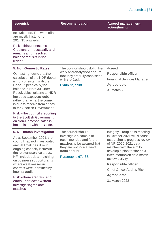| <b>Issue/risk</b>                                                                                                                                                                                               | <b>Recommendation</b>                                                                                                                                                        | <b>Agreed management</b><br>action/timing                                                                                                                                                                                            |                                                                 |
|-----------------------------------------------------------------------------------------------------------------------------------------------------------------------------------------------------------------|------------------------------------------------------------------------------------------------------------------------------------------------------------------------------|--------------------------------------------------------------------------------------------------------------------------------------------------------------------------------------------------------------------------------------|-----------------------------------------------------------------|
| tax write offs. The write offs<br>are mostly historic from<br>2014/15 onwards.                                                                                                                                  |                                                                                                                                                                              |                                                                                                                                                                                                                                      |                                                                 |
| Risk – this understates<br>Creditors unnecessarily and<br>remains an unresolved<br>balance that sits in the<br>ledger.                                                                                          |                                                                                                                                                                              |                                                                                                                                                                                                                                      |                                                                 |
| <b>5. Non-Domestic Rates</b>                                                                                                                                                                                    | The council should do further                                                                                                                                                | Agreed.                                                                                                                                                                                                                              |                                                                 |
| Our testing found that the<br>calculation of the NDR debtor<br>is not consistent with the                                                                                                                       | work and analysis to ensure<br>that they are fully consistent<br>with the Code.<br>Exhibit 2, point 5                                                                        |                                                                                                                                                                                                                                      | <b>Responsible officer</b><br><b>Financial Services Manager</b> |
| Code. Specifically, the<br>balance in Note 30 Other<br>Receivables, relating to NDR<br>includes taxpayers' debt<br>rather than what the council<br>is due to receive from or pay<br>to the Scottish Government. |                                                                                                                                                                              | <b>Agreed date</b><br>31 March 2022                                                                                                                                                                                                  |                                                                 |
| Risk – the council's reporting<br>to the Scottish Government<br>on Non-Domestic Rates is<br>inconsistent with the Code.                                                                                         |                                                                                                                                                                              |                                                                                                                                                                                                                                      |                                                                 |
| 6. NFI match investigation<br>As at September 2021, the<br>council had not investigated<br>any NFI matches due to<br>ongoing capacity issues in<br>the relevant service areas.<br>NFI includes data matching    | The council should<br>investigate a sample of<br>recommended and further<br>matches to be assured that<br>they are not indicative of<br>fraud or error<br>Paragraphs 67. 68. | Integrity Group at its meeting<br>in October 2021 will discuss<br>resourcing to progress review<br>of NFI 2020-2021 data<br>matches with the aim to<br>develop a plan for the next<br>three months on data match<br>review activity. |                                                                 |
| on business support grants<br>where weaknesses in<br>controls were identified by                                                                                                                                |                                                                                                                                                                              | <b>Responsible officer</b><br><b>Chief Officer Audit &amp; Risk</b>                                                                                                                                                                  |                                                                 |
| internal audit.                                                                                                                                                                                                 |                                                                                                                                                                              | <b>Agreed date</b>                                                                                                                                                                                                                   |                                                                 |
| Risk – there are fraud and<br>errors undetected without<br>investigating the data<br>matches                                                                                                                    |                                                                                                                                                                              | 31 March 2022                                                                                                                                                                                                                        |                                                                 |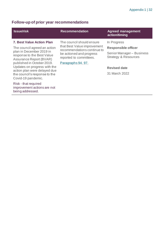### **Follow-up of prior year recommendations**

improvement actions are not

being addressed.

| <b>Issue/risk</b>                                                                                                                                                                                                                                                                                                 | <b>Recommendation</b>                                                                                                                                               | <b>Agreed management</b><br>action/timing                                                                                                       |
|-------------------------------------------------------------------------------------------------------------------------------------------------------------------------------------------------------------------------------------------------------------------------------------------------------------------|---------------------------------------------------------------------------------------------------------------------------------------------------------------------|-------------------------------------------------------------------------------------------------------------------------------------------------|
| <b>7. Best Value Action Plan</b><br>The council agreed an action<br>plan in December 2019 in<br>response to the Best Value<br><b>Assurance Report (BVAR)</b><br>published in October 2019.<br>Updates on progress with the<br>action plan were delayed due<br>the council's response to the<br>Covid-19 pandemic. | The council should ensure<br>that Best Value improvement<br>recommendations continue to<br>be actioned and progress<br>reported to committees.<br>Paragraphs 94.97. | In Progress<br><b>Responsible officer</b><br>Senior Manager-Business<br><b>Strategy &amp; Resources</b><br><b>Revised date</b><br>31 March 2022 |
| Risk - that required                                                                                                                                                                                                                                                                                              |                                                                                                                                                                     |                                                                                                                                                 |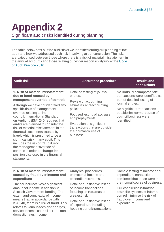# <span id="page-32-0"></span>**Appendix 2**

Significant audit risks identified during planning

The table below sets out the audit risks we identified during our planning of the audit and how we addressed each risk in arriving at our conclusion. The risks are categorised between those where there is a risk of material misstatement in the annual accounts and those relating our wider responsibility under th[e Code](http://www.audit-scotland.gov.uk/report/code-of-audit-practice-2016)  [of Audit Practice 2016.](http://www.audit-scotland.gov.uk/report/code-of-audit-practice-2016)

| <b>Audit risk</b>                                                                                                                                                                                                                                                                                                                                                                                                                                                                                                                                                                                                                 | <b>Assurance procedure</b>                                                                                                                                                                                                                                     | <b>Results and</b><br>conclusions                                                                                                                                                                                        |
|-----------------------------------------------------------------------------------------------------------------------------------------------------------------------------------------------------------------------------------------------------------------------------------------------------------------------------------------------------------------------------------------------------------------------------------------------------------------------------------------------------------------------------------------------------------------------------------------------------------------------------------|----------------------------------------------------------------------------------------------------------------------------------------------------------------------------------------------------------------------------------------------------------------|--------------------------------------------------------------------------------------------------------------------------------------------------------------------------------------------------------------------------|
| 1. Risk of material misstatement<br>due to fraud caused by<br>management override of controls<br>Although we have not identified any<br>specific risks of management<br>override relating to the<br>council, International Standard<br>on Auditing (ISA) 240 requires that<br>audits are planned to consider the<br>risk of material misstatement in the<br>financial statements caused by<br>fraud, which is presumed to be a<br>significant risk in any audit. This<br>includes the risk of fraud due to<br>the management override of<br>controls in order to change the<br>position disclosed in the financial<br>statements. | Detailed testing of journal<br>entries.<br>Review of accounting<br>estimates and accounting<br>policies.<br>Focused testing of accruals<br>and prepayments.<br>Evaluation of significant<br>transactions that are outside<br>the normal course of<br>business. | No unusual or inappropriate<br>transactions were identified as<br>part of detailed testing of<br>journal entries.<br>No significant transactions<br>outside the normal course of<br>council business were<br>identified. |
| 2. Risk of material misstatement<br>caused by fraud over income and<br>expenditure<br>The council receives a significant                                                                                                                                                                                                                                                                                                                                                                                                                                                                                                          | Analytical procedures<br>on material income and<br>expenditure streams.<br>Detailed substantive testing                                                                                                                                                        | Sample testing of income and<br>expenditure transactions<br>confirmed that these were in<br>the normal course of business.                                                                                               |

amount of income in addition to Scottish Government funding. The extent and complexity of income means that, in accordance with ISA 240, there is a risk of fraud. This relates to various fees and charges, service income, council tax and nondomestic rates income.

of income transactions focusing on the areas of greatest risk.

Detailed substantive testing of expenditure including housing benefit transactions.

Our conclusion is that the council's systems of internal control minimise the risk of fraud over income and expenditure.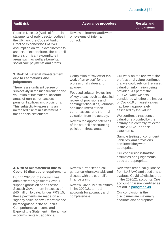| <b>Audit risk</b>                                                                                                                                                                                                                                                                                                                                                                                 | <b>Assurance procedure</b>                                                                                                                                                                           | <b>Results and</b><br>conclusions                                                                                                                                                                    |
|---------------------------------------------------------------------------------------------------------------------------------------------------------------------------------------------------------------------------------------------------------------------------------------------------------------------------------------------------------------------------------------------------|------------------------------------------------------------------------------------------------------------------------------------------------------------------------------------------------------|------------------------------------------------------------------------------------------------------------------------------------------------------------------------------------------------------|
| Practice Note 10 (Audit of financial<br>statements of public sector bodies in<br>the UK) and the Code of Audit<br>Practice expands the ISA 240<br>assumption on fraud over income to<br>aspects of expenditure. The council<br>incurs significant expenditure in<br>areas such as welfare benefits,<br>social care payments and grants.                                                           | Review of internal audit work<br>on systems of internal<br>control.                                                                                                                                  |                                                                                                                                                                                                      |
| 3. Risk of material misstatement<br>due to estimations and<br>judgements                                                                                                                                                                                                                                                                                                                          | Completion of 'review of the<br>work of an expert' for the<br>professional valuer and                                                                                                                | Our work on the review of the<br>professional valuer confirmed<br>that we could rely on the asset                                                                                                    |
| There is a significant degree of<br>subjectivity in the measurement and<br>valuation of the material account<br>areas of non-current assets,<br>pension liabilities and provisions.<br>This subjectivity represents an<br>increased risk of misstatement in<br>the financial statements.                                                                                                          | actuary.<br>Focused substantive testing<br>of key areas; such as detailed<br>review of provisions and<br>contingent liabilities, valuation<br>and impairment of non-<br>current assets and triennial | valuation information being<br>provided. As part of the<br>2020/21 work we also<br>considered whether the impact<br>of Covid-19 on asset values<br>had been appropriately<br>assessed by the valuer. |
|                                                                                                                                                                                                                                                                                                                                                                                                   | valuation from the actuary.<br>Review the appropriateness<br>of the council's accounting<br>policies in these areas.                                                                                 | We confirmed that pension<br>valuations provided by the<br>actuary are correctly reflected<br>in the 2020/21 financial<br>statements.                                                                |
|                                                                                                                                                                                                                                                                                                                                                                                                   |                                                                                                                                                                                                      | Sample testing of contingent<br>liabilities, and provisions<br>confirmed they were<br>appropriate.                                                                                                   |
|                                                                                                                                                                                                                                                                                                                                                                                                   |                                                                                                                                                                                                      | Our conclusion is that the<br>estimates and judgements<br>used are appropriate.                                                                                                                      |
| 4. Risk of misstatement due to<br><b>Covid-19 disclosure requirements</b>                                                                                                                                                                                                                                                                                                                         | Review further technical<br>guidance when available and<br>discuss with the council's                                                                                                                | Reviewed technical guidance<br>from LASAAC and used this to                                                                                                                                          |
| During 2020/21 the council has<br>administered significant Covid-19<br>support grants on behalf of the<br>Scottish Government in excess of<br>£40 million to date. Under IFRS 15,<br>these payments are made on an<br>'agency basis' and will therefore not<br>be recognised in the council's<br>Comprehensive Income and<br>Expenditure Statement in the annual<br>accounts. Instead, additional | finance team.<br><b>Review Covid-19 disclosures</b>                                                                                                                                                  | evaluate Covid-19 disclosures<br>in the 2020/21 accounts. One<br>accounting issue identified as                                                                                                      |
|                                                                                                                                                                                                                                                                                                                                                                                                   | in the 2020/21 annual<br>accounts for accuracy and<br>completeness.                                                                                                                                  | set out in paragraph 48.<br>Our conclusion is the<br>disclosures are materially<br>accurate and appropriate.                                                                                         |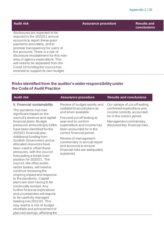disclosures are expected to be required in the 2020/21 annual accounts to report these grant payments accurately, and to promote transparency for users of the accounts. There is a risk of disclosure misstatement for this new area of agency expenditure. This will need to be separated from the Covid-19 funding the council has received to support its own budget.

#### **Audit risk Assurance procedure Results and**

**conclusions**

#### **Risks identified from the auditor's wider responsibility under the Code of Audit Practice**

| <b>Audit risk</b>                                                                                                                                                                                                                     | <b>Assurance procedure</b>                                                                                                                | <b>Results and conclusions</b>                                                        |
|---------------------------------------------------------------------------------------------------------------------------------------------------------------------------------------------------------------------------------------|-------------------------------------------------------------------------------------------------------------------------------------------|---------------------------------------------------------------------------------------|
| 5. Financial sustainability                                                                                                                                                                                                           | Review of budget reports and                                                                                                              | Our sample of cut off testing                                                         |
| The pandemic has had<br>significant impact on the                                                                                                                                                                                     | updated financial plans as<br>and when available.                                                                                         | confirmed expenditure and<br>income correctly accounted<br>for in the correct period. |
| council's revenue and capital<br>financial plans. Budget<br>pressures amounting to £28m<br>have been identified for the<br>2020/21 financial year.                                                                                    | Focused cut-off testing at<br>year-end to confirm<br>expenditure and income has<br>been accounted for in the<br>correct financial period. | Management commentary<br>disclosed key financial risks.                               |
| Additional funding from<br>Scottish Government and re-<br>allocated resources have<br>been used to offset these<br>pressures, with the council<br>forecasting a break-even<br>position for 2020/21. The<br>council, like other public | Review of management<br>commentary in annual report<br>and accounts to ensure<br>financial risks are adequately<br>explained              |                                                                                       |
| sector bodies, will need to<br>continue reviewing the<br>ongoing impact and response                                                                                                                                                  |                                                                                                                                           |                                                                                       |
| to the pandemic. Capital<br>plans are also having to be<br>continually revised. Any                                                                                                                                                   |                                                                                                                                           |                                                                                       |
| further financial implications<br>and uncertainties will require                                                                                                                                                                      |                                                                                                                                           |                                                                                       |
| to be carefully managed<br>leading into 2021/22. This                                                                                                                                                                                 |                                                                                                                                           |                                                                                       |
| may lead to a risk of budget<br>shortfalls and achievement of<br>planned savings, affecting the                                                                                                                                       |                                                                                                                                           |                                                                                       |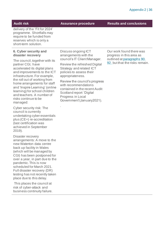**Audit risk Assurance procedure Results and conclusions**

delivery of the 'Fit for 2024' programme. Shortfalls may require to be funded from reserves which is only a short-term solution.

#### **6. Cyber security and disaster recovery**

The council, together with its partner CGI, have accelerated its digital plans and improvements to the ICT infrastructure. For example, the roll out of working from home arrangements for staff and 'Inspire Learning' (online learning) for school children and teachers. A number of risks continue to be managed:

Cyber security risk: The council is currently undertaking cyber essentials plus (CE+) re-accreditation (last certification was achieved in September 2019).

Disaster recovery arrangements: A move to the new Waterton data centre back up facility in Wales (which will be managed by CGI) has been postponed for over a year, in part due to the pandemic. This is now scheduled for March 2021. Full disaster recovery (DR) testing has not recently taken place due to this delay.

This places the council at risk of cyber-attack and business continuity failure. Discuss ongoing ICT arrangements with the council's IT Client Manager.

Review the refreshed Digital Strategy and related ICT policies to assess their appropriateness.

Review the council's progress with recommendations contained in the recent Audit Scotland report 'Digital Progress in Local Government'(January2021).

.

Our work found there was progress in this area as outlined at paragraph[s 90.](#page-23-0)  [92. b](#page-23-1)ut that the risks remain.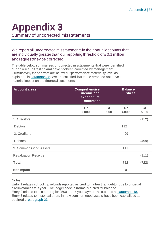# <span id="page-36-0"></span>**Appendix 3**

Summary of uncorrected misstatements

#### We report all uncorrected misstatements in the annual accounts that are individually greater than our reporting threshold of £0.1 million and request they be corrected.

The table below summarises uncorrected misstatements that were identified during our audit testing and have not been corrected by management. Cumulatively these errors are below our performance materiality level as explained in [paragraph 35.](#page-11-0) We are satisfied that these errors do not have a material impact on the financial statements.

| <b>Account areas</b>       | <b>Comprehensive</b><br>income and<br>expenditure<br><b>statement</b> |            | <b>Balance</b><br>sheet |                |
|----------------------------|-----------------------------------------------------------------------|------------|-------------------------|----------------|
|                            | Dr<br>£000                                                            | Cr<br>£000 | Dr<br>£000              | Cr<br>£000     |
| 1. Creditors               |                                                                       |            |                         | (112)          |
| <b>Debtors</b>             |                                                                       |            | 112                     |                |
| 2. Creditors               |                                                                       |            | 499                     |                |
| <b>Debtors</b>             |                                                                       |            |                         | (499)          |
| 3. Common Good Assets      |                                                                       |            | 111                     |                |
| <b>Revaluation Reserve</b> |                                                                       |            |                         | (111)          |
| <b>Total</b>               |                                                                       |            | 722                     | (722)          |
| <b>Net impact</b>          |                                                                       |            | $\overline{0}$          | $\overline{0}$ |

Notes:

Entry 1 relates school trip refunds reported as creditor rather than debtor due to unusual circumstances this year. The ledger code is normally a creditor balance. Entry 2 relates to accounting for £500 thank-you payment as outlined a[t paragraph 48.](#page-14-0) Entry 3 relates to historical errors in how common good assets have been capitalised as outlined a[t paragraph](#page-7-0) 23.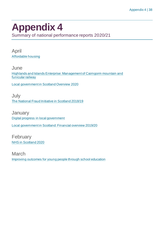## <span id="page-37-0"></span>**Appendix 4**

Summary of national performance reports 2020/21

April [Affordable housing](https://www.audit-scotland.gov.uk/report/affordable-housing)

June [Highlands and Islands Enterprise: Management of Cairngorm mountain and](https://www.audit-scotland.gov.uk/report/highlands-and-islands-enterprise-management-of-cairngorm-mountain-and-funicular-railway)  [funicular railway](https://www.audit-scotland.gov.uk/report/highlands-and-islands-enterprise-management-of-cairngorm-mountain-and-funicular-railway)

[Local government in Scotland Overview 2020](https://www.audit-scotland.gov.uk/report/local-government-in-scotland-overview-2020)

July [The National Fraud Initiative in Scotland 2018/19](https://www.audit-scotland.gov.uk/report/the-national-fraud-initiative-in-scotland-201819)

**January** [Digital progress in local government](https://www.audit-scotland.gov.uk/report/digital-progress-in-local-government)

[Local government in Scotland: Financial overview 2019/20](https://www.audit-scotland.gov.uk/report/local-government-in-scotland-financial-overview-201920)

February [NHS in Scotland 2020](https://www.audit-scotland.gov.uk/report/nhs-in-scotland-2020)

March [Improving outcomes for young people through school education](https://www.audit-scotland.gov.uk/report/improving-outcomes-for-young-people-through-school-education)